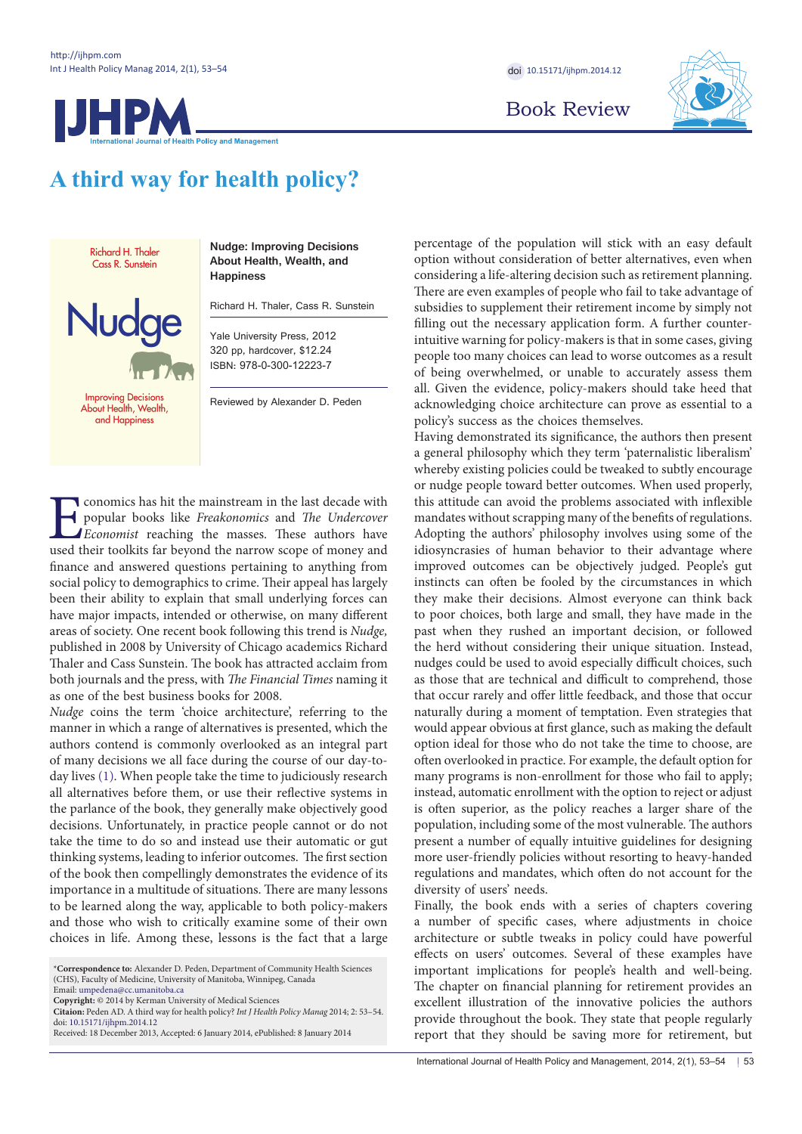

Book Review



# **A third way for health policy?**

Richard H. Thaler Cass R. Sunstein

**Nud** 

**Nudge: Improving Decisions About Health, Wealth, and Happiness**

Richard H. Thaler, Cass R. Sunstein

Yale University Press, 2012 320 pp, hardcover, \$12.24 ISBN: 978-0-300-12223-7

**Improving Decisions** About Health, Wealth, and Happiness

Reviewed by Alexander D. Peden

**Example 18 Solution** conomics has hit the mainstream in the last decade with popular books like *Freakonomics* and *The Undercover* Economist reaching the masses. These authors have used their toolkits far beyond the narr popular books like *Freakonomics* and *The Undercover Economist* reaching the masses. These authors have used their toolkits far beyond the narrow scope of money and finance and answered questions pertaining to anything from social policy to demographics to crime. Their appeal has largely been their ability to explain that small underlying forces can have major impacts, intended or otherwise, on many different areas of society. One recent book following this trend is *Nudge,* published in 2008 by University of Chicago academics Richard Thaler and Cass Sunstein. The book has attracted acclaim from both journals and the press, with *The Financial Times* naming it as one of the best business books for 2008.

*Nudge* coins the term 'choice architecture', referring to the manner in which a range of alternatives is presented, which the authors contend is commonly overlooked as an integral part of many decisions we all face during the course of our day-today lives [\(1](#page-1-0)). When people take the time to judiciously research all alternatives before them, or use their reflective systems in the parlance of the book, they generally make objectively good decisions. Unfortunately, in practice people cannot or do not take the time to do so and instead use their automatic or gut thinking systems, leading to inferior outcomes. The first section of the book then compellingly demonstrates the evidence of its importance in a multitude of situations. There are many lessons to be learned along the way, applicable to both policy-makers and those who wish to critically examine some of their own choices in life. Among these, lessons is the fact that a large

\***Correspondence to:** Alexander D. Peden, Department of Community Health Sciences (CHS), Faculty of Medicine, University of Manitoba, Winnipeg, Canada

Email: umpedena@cc.umanitoba.ca **Copyright:** © 2014 by Kerman University of Medical Sciences

**Citaion:** Peden AD. A third way for health policy? *Int J Health Policy Manag* 2014; 2: 53–54. doi: [10.15171/ijhpm.2014.12](http://dx.doi.org/10.15171/ijhpm.2014.12)

Received: 18 December 2013, Accepted: 6 January 2014, ePublished: 8 January 2014

percentage of the population will stick with an easy default option without consideration of better alternatives, even when considering a life-altering decision such as retirement planning. There are even examples of people who fail to take advantage of subsidies to supplement their retirement income by simply not filling out the necessary application form. A further counterintuitive warning for policy-makers is that in some cases, giving people too many choices can lead to worse outcomes as a result of being overwhelmed, or unable to accurately assess them all. Given the evidence, policy-makers should take heed that acknowledging choice architecture can prove as essential to a policy's success as the choices themselves.

Having demonstrated its significance, the authors then present a general philosophy which they term 'paternalistic liberalism' whereby existing policies could be tweaked to subtly encourage or nudge people toward better outcomes. When used properly, this attitude can avoid the problems associated with inflexible mandates without scrapping many of the benefits of regulations. Adopting the authors' philosophy involves using some of the idiosyncrasies of human behavior to their advantage where improved outcomes can be objectively judged. People's gut instincts can often be fooled by the circumstances in which they make their decisions. Almost everyone can think back to poor choices, both large and small, they have made in the past when they rushed an important decision, or followed the herd without considering their unique situation. Instead, nudges could be used to avoid especially difficult choices, such as those that are technical and difficult to comprehend, those that occur rarely and offer little feedback, and those that occur naturally during a moment of temptation. Even strategies that would appear obvious at first glance, such as making the default option ideal for those who do not take the time to choose, are often overlooked in practice. For example, the default option for many programs is non-enrollment for those who fail to apply; instead, automatic enrollment with the option to reject or adjust is often superior, as the policy reaches a larger share of the population, including some of the most vulnerable. The authors present a number of equally intuitive guidelines for designing more user-friendly policies without resorting to heavy-handed regulations and mandates, which often do not account for the diversity of users' needs.

Finally, the book ends with a series of chapters covering a number of specific cases, where adjustments in choice architecture or subtle tweaks in policy could have powerful effects on users' outcomes. Several of these examples have important implications for people's health and well-being. The chapter on financial planning for retirement provides an excellent illustration of the innovative policies the authors provide throughout the book. They state that people regularly report that they should be saving more for retirement, but